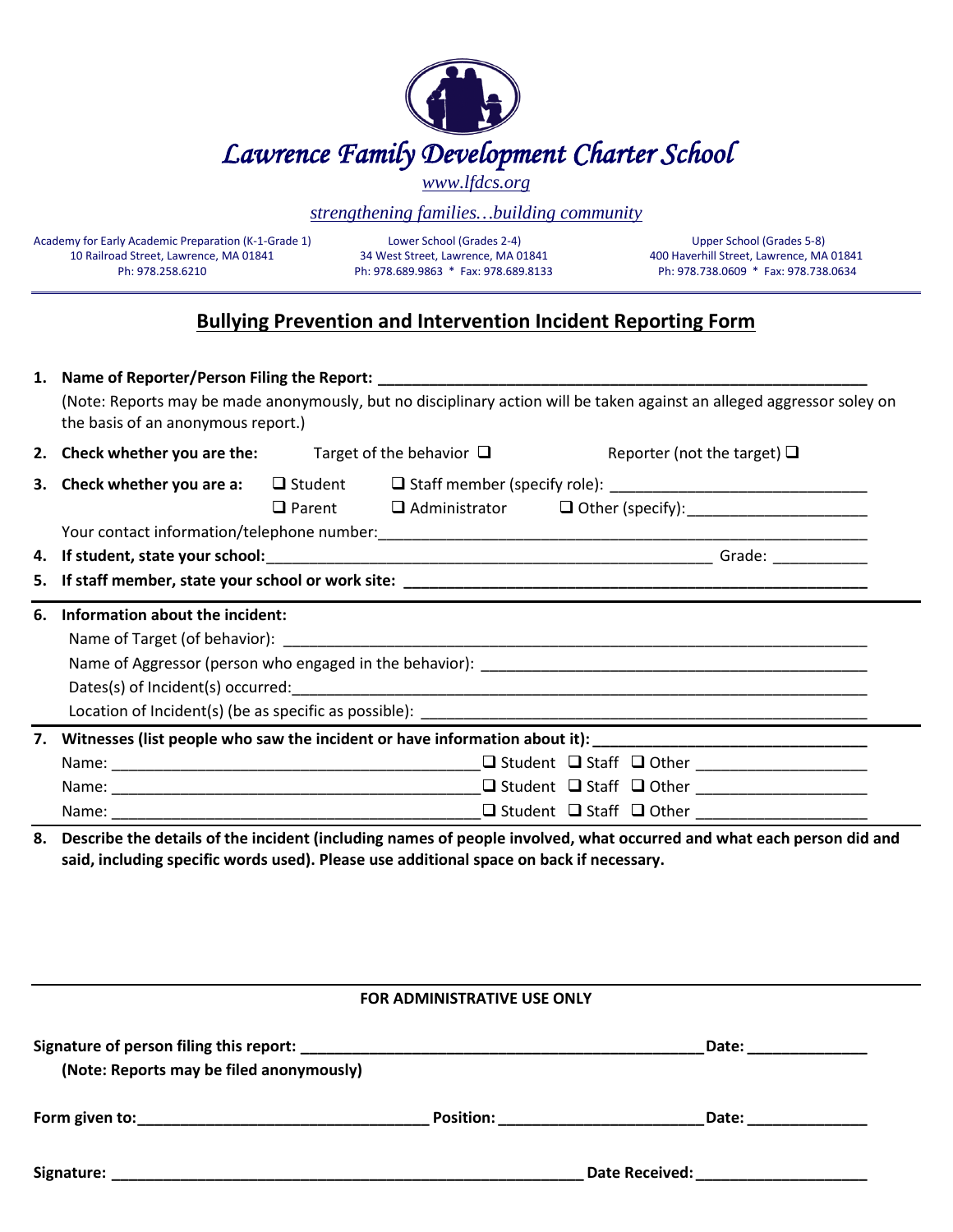| <b>Lawrence Family Development Charter School</b> |
|---------------------------------------------------|

*[www.lfdcs.org](http://www.lfdcs.org/)*

## *strengthening families…building community*

Academy for Early Academic Preparation (K-1-Grade 1) Lower School (Grades 2-4) Upper School (Grades 5-8)<br>34 West Street, Lawrence, MA 01841 400 Haverhill Street, Lawrence, MA 01841 1990 Haverhill Street, Lawrence, MA

400 Haverhill Street, Lawrence, MA 01841 Ph: 978.258.6210 Ph: 978.689.9863 \* Fax: 978.689.8133 Ph: 978.738.0609 \* Fax: 978.738.0634

## **Bullying Prevention and Intervention Incident Reporting Form**

|                                                                                                                      | 1. Name of Reporter/Person Filing the Report: ___________________________________                                                                            |  |  |                                                                                                                                                                                                                               |                                  |  |
|----------------------------------------------------------------------------------------------------------------------|--------------------------------------------------------------------------------------------------------------------------------------------------------------|--|--|-------------------------------------------------------------------------------------------------------------------------------------------------------------------------------------------------------------------------------|----------------------------------|--|
|                                                                                                                      | (Note: Reports may be made anonymously, but no disciplinary action will be taken against an alleged aggressor soley on<br>the basis of an anonymous report.) |  |  |                                                                                                                                                                                                                               |                                  |  |
|                                                                                                                      | 2. Check whether you are the: Target of the behavior $\Box$                                                                                                  |  |  |                                                                                                                                                                                                                               | Reporter (not the target) $\Box$ |  |
|                                                                                                                      |                                                                                                                                                              |  |  |                                                                                                                                                                                                                               |                                  |  |
|                                                                                                                      |                                                                                                                                                              |  |  | □ Parent □ Administrator □ Other (specify): _____________________                                                                                                                                                             |                                  |  |
|                                                                                                                      |                                                                                                                                                              |  |  |                                                                                                                                                                                                                               |                                  |  |
|                                                                                                                      |                                                                                                                                                              |  |  |                                                                                                                                                                                                                               |                                  |  |
|                                                                                                                      |                                                                                                                                                              |  |  |                                                                                                                                                                                                                               |                                  |  |
| 6.                                                                                                                   | Information about the incident:                                                                                                                              |  |  |                                                                                                                                                                                                                               |                                  |  |
|                                                                                                                      |                                                                                                                                                              |  |  |                                                                                                                                                                                                                               |                                  |  |
|                                                                                                                      |                                                                                                                                                              |  |  |                                                                                                                                                                                                                               |                                  |  |
|                                                                                                                      |                                                                                                                                                              |  |  |                                                                                                                                                                                                                               |                                  |  |
|                                                                                                                      |                                                                                                                                                              |  |  |                                                                                                                                                                                                                               |                                  |  |
| Witnesses (list people who saw the incident or have information about it): ___________________________________<br>7. |                                                                                                                                                              |  |  |                                                                                                                                                                                                                               |                                  |  |
|                                                                                                                      |                                                                                                                                                              |  |  |                                                                                                                                                                                                                               |                                  |  |
|                                                                                                                      |                                                                                                                                                              |  |  |                                                                                                                                                                                                                               |                                  |  |
|                                                                                                                      |                                                                                                                                                              |  |  |                                                                                                                                                                                                                               |                                  |  |
|                                                                                                                      |                                                                                                                                                              |  |  | . The contract of the contract of the contract of the contract of the contract of the contract of the contract of the contract of the contract of the contract of the contract of the contract of the contract of the contrac | $\sim$ $\sim$ $\sim$             |  |

**8. Describe the details of the incident (including names of people involved, what occurred and what each person did and said, including specific words used). Please use additional space on back if necessary.**

### **FOR ADMINISTRATIVE USE ONLY**

| (Note: Reports may be filed anonymously)                                                                                                                                                                                       |                  |                       | Date: |
|--------------------------------------------------------------------------------------------------------------------------------------------------------------------------------------------------------------------------------|------------------|-----------------------|-------|
| Form given to: example a series of the series of the series of the series of the series of the series of the series of the series of the series of the series of the series of the series of the series of the series of the s | <b>Position:</b> |                       | Date: |
| Signature:                                                                                                                                                                                                                     |                  | <b>Date Received:</b> |       |